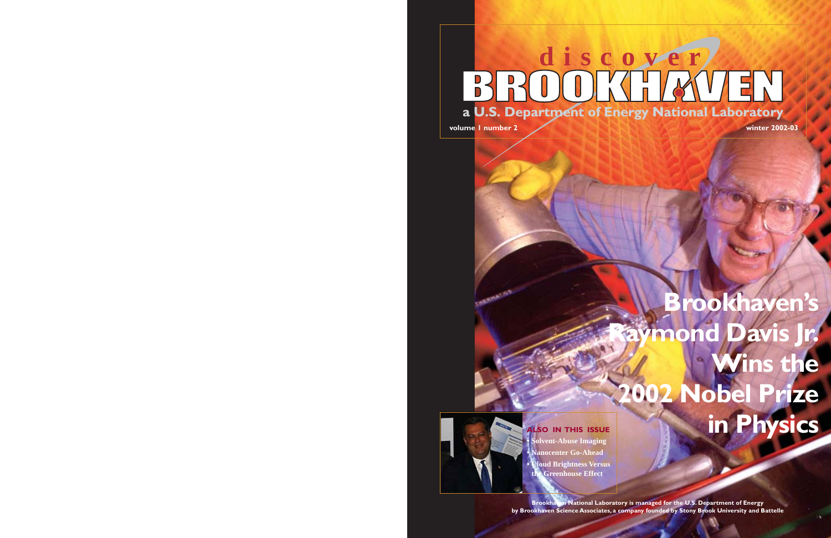# **discover**BROOKHAVEN **a U.S. Department of Energy National Laboratory**

**volume 1 number 2 winter 2002-03**

# **Brookhaven's Raymond Davis Jr. Wins the 2002 Nobel Prize ALSO IN THIS ISSUE**



**ALSO IN THIS ISSUE• Nanocenter Go-Ahead**

**• Cloud Brightness Versus the Greenhouse Effect**

**Brookhaven National Laboratory is managed for the U.S. Department of Energy by Brookhaven Science Associates, a company founded by Stony Brook University and Battelle**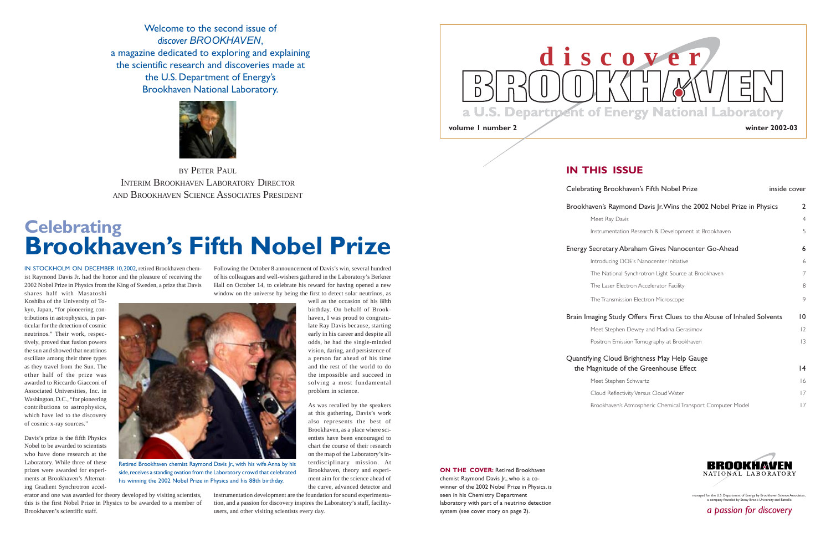#### **IN THIS ISSUE**

Celebrating Bro

Brookhaven's R

#### Energy Secreta

#### Brain Imaging S

#### Quantifying Cloud the Magnitud

| ting Brookhaven's Fifth Nobel Prize                                        | inside cover   |
|----------------------------------------------------------------------------|----------------|
| iven's Raymond Davis Jr. Wins the 2002 Nobel Prize in Physics              | $\overline{2}$ |
| Meet Ray Davis                                                             | $\overline{4}$ |
| Instrumentation Research & Development at Brookhaven                       | 5              |
| Secretary Abraham Gives Nanocenter Go-Ahead                                | 6              |
| Introducing DOE's Nanocenter Initiative                                    | 6              |
| The National Synchrotron Light Source at Brookhaven                        | 7              |
| The Laser Electron Accelerator Facility                                    | 8              |
| The Transmission Electron Microscope                                       | 9              |
| aging Study Offers First Clues to the Abuse of Inhaled Solvents            | $\overline{0}$ |
| Meet Stephen Dewey and Madina Gerasimov                                    | $ 2\rangle$    |
| Positron Emission Tomography at Brookhaven                                 | 3              |
| ving Cloud Brightness May Help Gauge<br>lagnitude of the Greenhouse Effect | 14             |
| Meet Stephen Schwartz                                                      | 16             |
| Cloud Reflectivity Versus Cloud Water                                      | 7              |
| Brookhaven's Atmospheric Chemical Transport Computer Model                 | 7              |
|                                                                            |                |



**ON THE COVER:** Retired Brookhaven chemist Raymond Davis Jr., who is a co-

winner of the 2002 Nobel Prize in Physics, is seen in his Chemistry Department laboratory with part of a neutrino detection system (see cover story on page 2).

managed for the U.S. Department of Energy by Brookhaven Science Associates, a company founded by Stony Brook University and Battelle

*a passion for discovery*

# **Celebrating Brookhaven's Fifth Nobel Prize**

Welcome to the second issue of*discover BROOKHAVEN*, a magazine dedicated to exploring and explaining the scientific research and discoveries made atthe U.S. Department of Energy's Brookhaven National Laboratory.



IN STOCKHOLM ON DECEMBER 10, 2002, retired Brookhaven chemist Raymond Davis Jr. had the honor and the pleasure of receiving the 2002 Nobel Prize in Physics from the King of Sweden, a prize that Davis

BY PETER PAUL INTERIM BROOKHAVEN LABORATORY DIRECTORAND BROOKHAVEN SCIENCE ASSOCIATES PRESIDENT

shares half with Masatoshi Koshiba of the University of Tokyo, Japan, "for pioneering contributions in astrophysics, in particular for the detection of cosmic neutrinos." Their work, respectively, proved that fusion powers the sun and showed that neutrinos oscillate among their three types as they travel from the Sun. The other half of the prize was awarded to Riccardo Giacconi ofAssociated Universities, Inc. in Washington, D.C., "for pioneering contributions to astrophysics, which have led to the discovery of cosmic x-ray sources."

Davis's prize is the fifth Physics Nobel to be awarded to scientistswho have done research at the Laboratory. While three of these prizes were awarded for experiments at Brookhaven's Alternating Gradient Synchrotron accel-

erator and one was awarded for theory developed by visiting scientists, this is the first Nobel Prize in Physics to be awarded to a member of Brookhaven's scientific staff.



Following the October 8 announcement of Davis's win, several hundred of his colleagues and well-wishers gathered in the Laboratory's Berkner Hall on October 14, to celebrate his reward for having opened a new window on the universe by being the first to detect solar neutrinos, as

> well as the occasion of his 88thbirthday. On behalf of Brookhaven, I was proud to congratulate Ray Davis because, starting early in his career and despite all odds, he had the single-minded vision, daring, and persistence of a person far ahead of his time and the rest of the world to do the impossible and succeed in solving a most fundamental

problem in science.

As was recalled by the speakers at this gathering, Davis's work also represents the best of Brookhaven, as a place where scientists have been encouraged to chart the course of their researchon the map of the Laboratory's interdisciplinary mission. At Brookhaven, theory and experiment aim for the science ahead of the curve, advanced detector and

instrumentation development are the foundation for sound experimentation, and a passion for discovery inspires the Laboratory's staff, facilityusers, and other visiting scientists every day.



Retired Brookhaven chemist Raymond Davis Jr., with his wife Anna by his side,receives a standing ovation from the Laboratory crowd that celebrated his winning the 2002 Nobel Prize in Physics and his 88th birthday.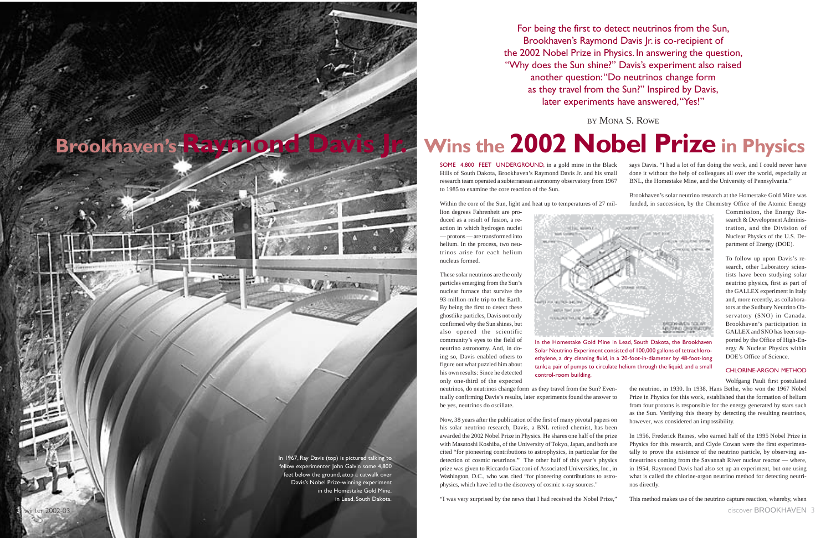For being the first to detect neutrinos from the Sun, Brookhaven's Raymond Davis |r. is co-recipient of the 2002 Nobel Prize in Physics. In answering the question, "Why does the Sun shine?" Davis's experiment also raised another question: "Do neutrinos change form as they travel from the Sun?" Inspired by Davis, later experiments have answered, "Yes!"

# **Wins the 2002 Nobel Prize in Physics**

BY MONA S. ROWE

Commission, the Energy Research & Development Administration, and the Division of Nuclear Physics of the U.S. Department of Energy (DOE).

To follow up upon Davis's research, other Laboratory scientists have been studying solar neutrino physics, first as part of the GALLEX experiment in Italy and, more recently, as collaborators at the Sudbury Neutrino Observatory (SNO) in Canada. Brookhaven's participation in GALLEX and SNO has been supported by the Office of High-Energy & Nuclear Physics within DOE's Office of Science.

#### CHLORINE-ARGON METHOD

says Davis. "I had a lot of fun doing the work, and I could never have done it without the help of colleagues all over the world, especially at BNL, the Homestake Mine, and the University of Pennsylvania." SOME 4,800 FEET UNDERGROUND, in a gold mine in the Black Hills of South Dakota, Brookhaven's Raymond Davis Jr. and his small research team operated a subterranean astronomy observatory from 1967 to 1985 to examine the core reaction of the Sun.

Brookhaven's solar neutrino research at the Homestake Gold Mine wasfunded, in succession, by the Chemistry Office of the Atomic Energy Within the core of the Sun, light and heat up to temperatures of 27 mil-

Wolfgang Pauli first postulated the neutrino, in 1930. In 1938, Hans Bethe, who won the 1967 Nobel Prize in Physics for this work, established that the formation of helium from four protons is responsible for the energy generated by stars such as the Sun. Verifying this theory by detecting the resulting neutrinos, neutrinos, do neutrinos change form as they travel from the Sun? Eventually confirming Davis's results, later experiments found the answer to be yes, neutrinos do oscillate. Now, 38 years after the publication of the first of many pivotal papers on

lion degrees Fahrenheit are produced as a result of fusion, a reaction in which hydrogen nuclei — protons — are transformed into helium. In the process, two neutrinos arise for each heliumnucleus formed.

however, was considered an impossibility. In 1956, Frederick Reines, who earned half of the 1995 Nobel Prize in Physics for this research, and Clyde Cowan were the first experimentally to prove the existence of the neutrino particle, by observing antineutrinos coming from the Savannah River nuclear reactor — where, in 1954, Raymond Davis had also set up an experiment, but one using what is called the chlorine-argon neutrino method for detecting neutrinos directly. his solar neutrino research, Davis, a BNL retired chemist, has been awarded the 2002 Nobel Prize in Physics. He shares one half of the prize with Masatoshi Koshiba, of the University of Tokyo, Japan, and both are cited "for pioneering contributions to astrophysics, in particular for the detection of cosmic neutrinos." The other half of this year's physics prize was given to Riccardo Giacconi of Associated Universities, Inc., in Washington, D.C., who was cited "for pioneering contributions to astrophysics, which have led to the discovery of cosmic x-ray sources."

These solar neutrinos are the only particles emerging from the Sun's nuclear furnace that survive the 93-million-mile trip to the Earth. By being the first to detect these ghostlike particles, Davis not only confirmed why the Sun shines, but also opened the scientific community's eyes to the field of neutrino astronomy. And, in doing so, Davis enabled others to figure out what puzzled him about his own results: Since he detected only one-third of the expected

This method makes use of the neutrino capture reaction, whereby, when "I was very surprised by the news that I had received the Nobel Prize,"

In the Homestake Gold Mine in Lead, South Dakota, the Brookhaven Solar Neutrino Experiment consisted of 100,000 gallons of tetrachloroethylene, a dry cleaning fluid, in a 20-foot-in-diameter by 48-foot-long tank; a pair of pumps to circulate helium through the liquid; and a small



control-room building.

<span id="page-2-0"></span>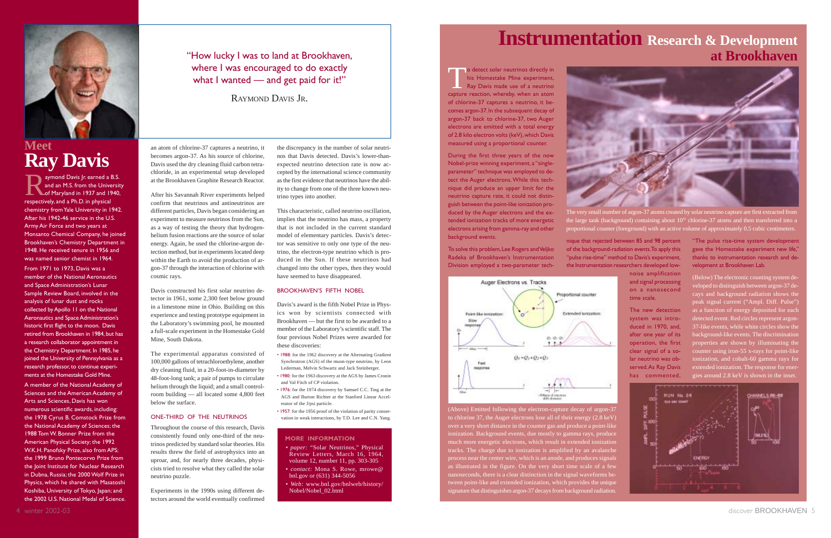#### **MORE INFORMATION**

• *paper:* "Solar Neutrinos," Physical Review Letters, March 16, 1964, volume 12, number 11, pp. 303-305 • *contact:* Mona S. Rowe, mrowe@ bnl.gov or (631) 344-5056

• *Web:* [www.bnl.gov/bnlweb/history/](http://www.bnl.gov/bnlweb/history/Nobel/Nobel_02.html) [Nobel/Nobel\\_02.html](http://www.bnl.gov/bnlweb/history/Nobel/Nobel_02.html)

an atom of chlorine-37 captures a neutrino, it becomes argon-37. As his source of chlorine, Davis used the dry cleaning fluid carbon tetrachloride, in an experimental setup developed at the Brookhaven Graphite Research Reactor.

After his Savannah River experiments helped confirm that neutrinos and antineutrinos aredifferent particles, Davis began considering an experiment to measure neutrinos from the Sun, as a way of testing the theory that hydrogenhelium fusion reactions are the source of solar energy. Again, he used the chlorine-argon detection method, but in experiments located deep within the Earth to avoid the production of argon-37 through the interaction of chlorine with cosmic rays.

"How lucky I was to land at Brookhaven, where I was encouraged to do exactly what I wanted — and get paid for it!"

Davis constructed his first solar neutrino detector in 1961, some 2,300 feet below ground in a limestone mine in Ohio. Building on this experience and testing prototype equipment in the Laboratory's swimming pool, he mounted a full-scale experiment in the Homestake Gold Mine, South Dakota.

The experimental apparatus consisted of 100,000 gallons of tetrachloroethylene, another dry cleaning fluid, in a 20-foot-in-diameter by 48-foot-long tank; a pair of pumps to circulate helium through the liquid; and a small controlroom building — all located some 4,800 feet below the surface.

aymond Davis Jr. earned a B.S.<br>and an M.S. from the University<br>of Maryland in 1937 and 1940, respectively, and a Ph.D. in physical chemistry from Yale University in 1942. After his 1942-46 service in the U.S.Army Air Force and two years at Monsanto Chemical Company, he joined Brookhaven's Chemistry Department in 1948. He received tenure in 1956 and was named senior chemist in 1964.From 1971 to 1973, Davis was a member of the National Aeronautics and Space Administration's Lunar Sample Review Board, involved in the analysis of lunar dust and rocks collected by Apollo 11 on the National Aeronautics and Space Administration's historic first flight to the moon. Davis retired from Brookhaven in 1984, but has a research collaborator appointment in the Chemistry Department. In 1985, he joined the University of Pennsylvania as a research professor, to continue experiments at the Homestake Gold Mine.

#### ONE-THIRD OF THE NEUTRINOS

Throughout the course of this research, Davis consistently found only one-third of the neutrinos predicted by standard solar theories. His results threw the field of astrophysics into an uproar, and, for nearly three decades, physicists tried to resolve what they called the solar neutrino puzzle.

Experiments in the 1990s using different detectors around the world eventually confirmed

RAYMOND DAVIS JR.

<span id="page-3-0"></span>

### **MeetRay Davis**

- 1988: for the 1962 discovery at the Alternating Gradient Synchrotron (AGS) of the muon-type neutrino, by Leon Lederman, Melvin Schwartz and Jack Steinberger.
- 1980: for the 1963 discovery at the AGS by James Cronin and Val Fitch of CP violation.
- 1976: for the 1974 discovery by Samuel C.C. Ting at the AGS and Burton Richter at the Stanford Linear Accelerator of the J/psi particle.
- 1957: for the 1956 proof of the violation of parity conservation in weak interactions, by T.D. Lee and C.N. Yang.

To detect solar neutrinos directly in<br>his Homestake Mine experiment,<br>Ray Davis made use of a neutrino capture reaction, whereby, when an atom of chlorine-37 captures a neutrino, it becomes argon-37. In the subsequent decay of argon-37 back to chlorine-37, two Auger electrons are emitted with a total energy of 2.8 kilo electron volts (keV), which Davis measured using a proportional counter.

> the large tank (background) containing about  $10<sup>31</sup>$  chlorine-37 atoms and then transferred into a proportional counter (foreground) with an active volume of approximately 0.5 cubic centimeters.

A member of the National Academy of Sciences and the American Academy of Arts and Sciences, Davis has won numerous scientific awards, including: the 1978 Cyrus B. Comstock Prize from the National Academy of Sciences; the 1988 Tom W. Bonner Prize from the American Physical Society; the 1992 W.K.H. Panofsky Prize, also from APS; the 1999 Bruno Pontecorvo Prize fromthe Joint Institute for Nuclear Research in Dubna, Russia; the 2000 Wolf Prize in Physics, which he shared with Masatoshi Koshiba, University of Tokyo, Japan; and the 2002 U.S. National Medal of Science.

process near the center wire, which is an anode, and produces signals as illustrated in the figure. On the very short time scale of a few nanoseconds, there is a clear distinction in the signal waveforms between point-like and extended ionization, which provides the unique signature that distinguishes argon-37 decays from background radiation.

the discrepancy in the number of solar neutrinos that Davis detected. Davis's lower-thanexpected neutrino detection rate is now accepted by the international science community as the first evidence that neutrinos have the ability to change from one of the three known neutrino types into another.

This characteristic, called neutrino oscillation, implies that the neutrino has mass, a property that is not included in the current standard model of elementary particles. Davis's detector was sensitive to only one type of the neutrino, the electron-type neutrino which is produced in the Sun. If these neutrinos hadchanged into the other types, then they would have seemed to have disappeared.

#### BROOKHAVEN'S FIFTH NOBEL

Davis's award is the fifth Nobel Prize in Physics won by scientists connected with Brookhaven — but the first to be awarded to a member of the Laboratory's scientific staff. The four previous Nobel Prizes were awarded for these discoveries:

### **Instrumentation Research & Development at Brookhaven**

During the first three years of the now Nobel-prize winning experiment, a "singleparameter" technique was employed to detect the Auger electrons. While this technique did produce an upper limit for the neutrino capture rate, it could not distinguish between the point-like ionization produced by the Auger electrons and the extended ionization tracks of more energetic electrons arising from gamma-ray and other background events.

To solve this problem, Lee Rogers and Veljko Radeka of Brookhaven's InstrumentationDivision employed a two-parameter tech-



nique that rejected between 85 and 98 percent of the background-radiation events. To apply this "pulse rise-time" method to Davis's experiment, the Instrumentation researchers developed low-

> noise amplification and signal processing on a nanosecondtime scale.

> The new detectionsystem was introduced in 1970, and, after one year of its operation, the first clear signal of a solar neutrino was observed. As Ray Davis has commented,



"The pulse rise-time system development gave the Homestake experiment new life," thanks to instrumentation research and development at Brookhaven Lab.

(Below) The electronic counting system developed to distinguish between argon-37 decays and background radiation shows the peak signal current ("Ampl. Diff. Pulse") as a function of energy deposited for each detected event. Red circles represent argon-37-like events, while white circles show the background-like events. The discrimination properties are shown by illuminating the counter using iron-55 x-rays for point-like ionization, and cobalt-60 gamma rays for extended ionization. The response for energies around 2.8 keV is shown in the inset.



discover **BROOKHAVEN** 5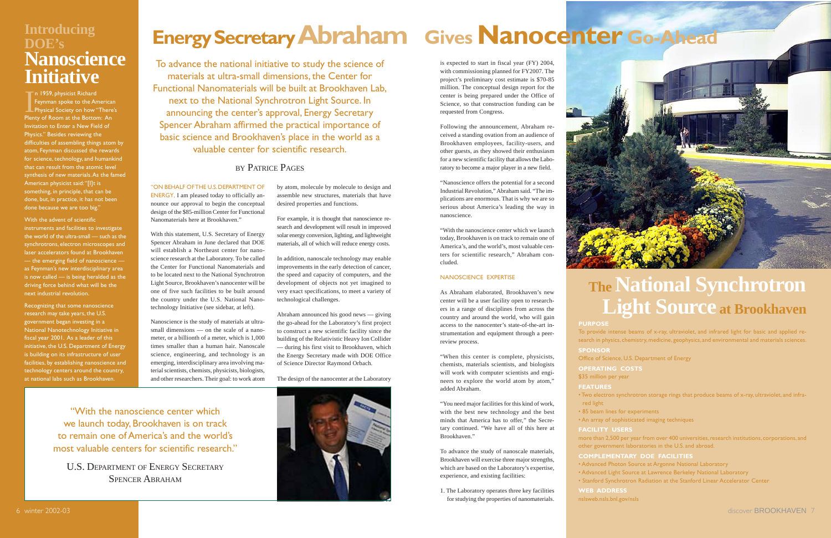### <span id="page-4-0"></span>**Introducing DOE's Nanoscience Initiative**

In 1959, physicist Richard<br>Feynman spoke to the American<br>Physical Society on how "There's Plenty of Room at the Bottom: An Invitation to Enter a New Field of Physics." Besides reviewing the difficulties of assembling things atom by atom, Feynman discussed the rewards for science, technology, and humankind that can result from the atomic levelsynthesis of new materials. As the famed American physicist said: "[I]t is something, in principle, that can be done, but, in practice, it has not been done because we are too big."

#### With the advent of scientific

instruments and facilities to investigate the world of the ultra-small — such as the synchrotrons, electron microscopes and laser accelerators found at Brookhaven — the emerging field of nanoscience as Feynman's new interdisciplinary area is now called — is being heralded as the driving force behind what will be the next industrial revolution.

Recognizing that some nanoscience research may take years, the U.S. government began investing in a National Nanotechnology Initiative in fiscal year 2001. As a leader of this initiative, the U.S. Department of Energy is building on its infrastructure of user facilities, by establishing nanoscience and technology centers around the country, at national labs such as Brookhaven.

#### "ON BEHALF OF THE U.S. DEPARTMENT OF

ENERGY, I am pleased today to officially announce our approval to begin the conceptual design of the \$85-million Center for Functional Nanomaterials here at Brookhaven."

> **OPERATING COSTS** \$35 million per year

With this statement, U.S. Secretary of Energy Spencer Abraham in June declared that DOE will establish a Northeast center for nanoscience research at the Laboratory. To be called the Center for Functional Nanomaterials and to be located next to the National Synchrotron Light Source, Brookhaven's nanocenter will be one of five such facilities to be built around the country under the U.S. National Nanotechnology Initiative (see sidebar, at left).

Nanoscience is the study of materials at ultrasmall dimensions — on the scale of a nanometer, or a billionth of a meter, which is 1,000 times smaller than a human hair. Nanoscalescience, engineering, and technology is an emerging, interdisciplinary area involving material scientists, chemists, physicists, biologists, and other researchers. Their goal: to work atom

To advance the national initiative to study the science of materials at ultra-small dimensions, the Center for Functional Nanomaterials will be built at Brookhaven Lab, next to the National Synchrotron Light Source. In announcing the center's approval, Energy Secretary Spencer Abraham affirmed the practical importance of basic science and Brookhaven's place in the world as a valuable center for scientific research.

#### BY PATRICE PAGES

# **The National Synchrotron Light Source at Brookhaven**

**PURPOSE**

To provide intense beams of x-ray, ultraviolet, and infrared light for basic and applied research in physics, chemistry, medicine, geophysics, and environmental and materials sciences.

**SPONSOR**

Office of Science, U.S. Department of Energy

**FEATURES**

• Two electron synchrotron storage rings that produce beams of x-ray, ultraviolet, and infra-

red light

• 85 beam lines for experiments • An array of sophisticated imaging techniques

**FACILITY USERS**

more than 2,500 per year from over 400 universities, research institutions, corporations, and other government laboratories in the U.S. and abroad.

**COMPLEMENTARY DOE FACILITIES**

• Advanced Photon Source at Argonne National Laboratory

• Advanced Light Source at Lawrence Berkeley National Laboratory

• Stanford Synchrotron Radiation at the Stanford Linear Accelerator Center

**WEB ADDRESS**

[nslsweb.nsls.bnl.gov/nsls](http://nslsweb.nsls.bnl.gov/nsls/)

by atom, molecule by molecule to design and assemble new structures, materials that have desired properties and functions.

For example, it is thought that nanoscience research and development will result in improved solar energy conversion, lighting, and lightweight materials, all of which will reduce energy costs.

In addition, nanoscale technology may enable improvements in the early detection of cancer, the speed and capacity of computers, and the development of objects not yet imagined to very exact specifications, to meet a variety of technological challenges.

Abraham announced his good news — giving the go-ahead for the Laboratory's first project to construct a new scientific facility since the building of the Relativistic Heavy Ion Collider — during his first visit to Brookhaven, which the Energy Secretary made with DOE Office of Science Director Raymond Orbach.

The design of the nanocenter at the Laboratory

is expected to start in fiscal year (FY) 2004, with commissioning planned for FY2007. The project's preliminary cost estimate is \$70-85 million. The conceptual design report for the center is being prepared under the Office of Science, so that construction funding can be requested from Congress.

Following the announcement, Abraham received a standing ovation from an audience of Brookhaven employees, facility-users, and other guests, as they showed their enthusiasm for a new scientific facility that allows the Laboratory to become a major player in a new field.

"Nanoscience offers the potential for a second Industrial Revolution," Abraham said. "The implications are enormous. That is why we are so serious about America's leading the way in nanoscience.

"With the nanoscience center which we launchtoday, Brookhaven is on track to remain one of America's, and the world's, most valuable centers for scientific research," Abraham concluded.

#### NANOSCIENCE EXPERTISE

As Abraham elaborated, Brookhaven's new center will be a user facility open to researchers in a range of disciplines from across the country and around the world, who will gain access to the nanocenter's state-of-the-art instrumentation and equipment through a peerreview process.

"When this center is complete, physicists, chemists, materials scientists, and biologists will work with computer scientists and engineers to explore the world atom by atom," added Abraham.

"You need major facilities for this kind of work, with the best new technology and the best minds that America has to offer," the Secretary continued. "We have all of this here at Brookhaven."

To advance the study of nanoscale materials, Brookhaven will exercise three major strengths, which are based on the Laboratory's expertise, experience, and existing facilities:

1. The Laboratory operates three key facilities for studying the properties of nanomaterials.

"With the nanoscience center whichwe launch today, Brookhaven is on track to remain one of America's and the world'smost valuable centers for scientific research."

U.S. DEPARTMENT OF ENERGY SECRETARYSPENCER ABRAHAM



# **Energy Secretary Abraham Gives Nanocenter Go-Ahead**

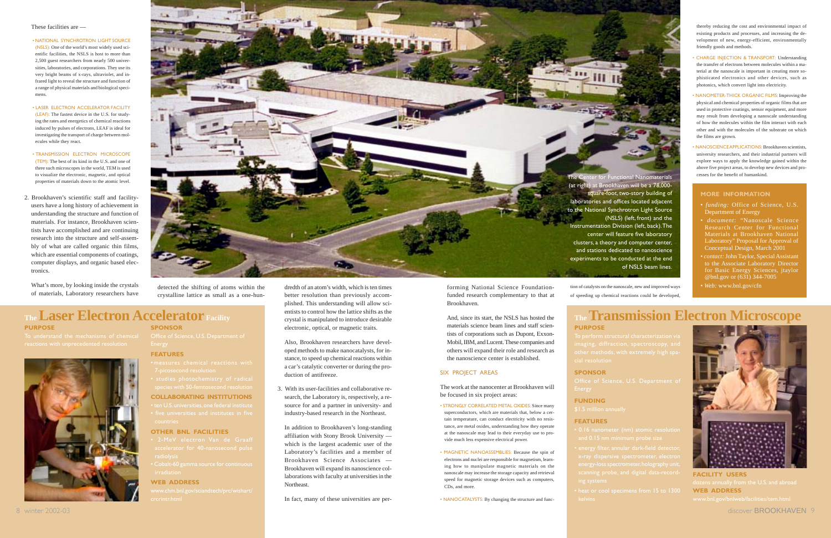#### **MORE INFORMATION**

- Department of Energy
- *document*: "Nanoscale ScienceResearch Center for Functional Materials at Brookhaven National Laboratory" Proposal for Approval of Conceptual Design, March 2001
- *contact:* John Taylor, Special Assistant to the Associate Laboratory Director for Basic Energy Sciences, jtaylor @bnl.gov or (631) 344-7005
- *Web:* [www.bnl.gov/cfn](http://www.bnl.gov/cfn)

- 
- energy-loss spectrometer, holography unit
	-

**PURPOSE**

**SPONSOR**

### **FUNDING**

#### **FEATURES**

### **Facility TheTransmission Electron Microscope**



**FACILITY USERS WEB ADDRESS**

#### **PURPOSE**

**SPONSOR**

Office of Science, U.S. Department of



- 
- **COLLABORATING INSTITUTIONS**
- 

#### **OTHER BNL FACILITIES**

- 
- Cobalt-60 gamma source for continuous

#### **WEB ADDRESS**

The Center for Functional Nanomaterials (at right) at Brookhaven will be a 78,000 square-foot, two-story building of laboratories and offices located adjacent to the National Synchrotron Light Source (NSLS) (left, front) and the Instrumentation Division (left, back). The center will feature five laboratory clusters, a theory and computer center, and stations dedicated to nanoscience experiments to be conducted at the end of NSLS beam lines.

In addition to Brookhaven's long-standing affiliation with Stony Brook University which is the largest academic user of the Laboratory's facilities and a member of Brookhaven Science Associates —Brookhaven will expand its nanoscience collaborations with faculty at universities in the Northeast.decrease the control with the material state of the control of the control of the control of the control of the control of the control of the control of the control of the control of the control of the control of the cont

#### <span id="page-5-0"></span>These facilities are —

• NATIONAL SYNCHROTRON LIGHT SOURCE(NSLS): One of the world's most widely used scientific facilities, the NSLS is host to more than 2,500 guest researchers from nearly 500 universities, laboratories, and corporations. They use its very bright beams of x-rays, ultraviolet, and infrared light to reveal the structure and function of a range of physical materials and biological specimens.

- LASER ELECTRON ACCELERATOR FACILITY(LEAF): The fastest device in the U.S. for studying the rates and energetics of chemical reactions induced by pulses of electrons, LEAF is ideal for investigating the transport of charge between molecules while they react.
- TRANSMISSION ELECTRON MICROSCOPE (TEM): The best of its kind in the U.S. and one of three such microscopes in the world, TEM is used to visualize the electronic, magnetic, and optical properties of materials down to the atomic level.
- 2. Brookhaven's scientific staff and facilityusers have a long history of achievement in understanding the structure and function of materials. For instance, Brookhaven scientists have accomplished and are continuing research into the structure and self-assembly of what are called organic thin films, which are essential components of coatings, computer displays, and organic based electronics.

What's more, by looking inside the crystals of materials, Laboratory researchers have



### **The Laser Electron Accelerator Facility**

dredth of an atom's width, which is ten times

better resolution than previously accomplished. This understanding will allow scientists to control how the lattice shifts as the crystal is manipulated to introduce desirable electronic, optical, or magnetic traits.

Also, Brookhaven researchers have developed methods to make nanocatalysts, for instance, to speed up chemical reactions within a car's catalytic converter or during the production of antifreeze.

3. With its user-facilities and collaborative research, the Laboratory is, respectively, a resource for and a partner in university- and industry-based research in the Northeast.

In fact, many of these universities are per-

forming National Science Foundation funded research complementary to that at Brookhaven.

And, since its start, the NSLS has hosted the materials science beam lines and staff scien tists of corporations such as Dupont, Exxon- Mobil, IBM, and Lucent. These companies and others will expand their role and research as the nanoscience center is established.

#### SIX PROJECT AREAS

The work at the nanocenter at Brookhaven will be focused in six project areas:

- STRONGLY CORRELATED METAL OXIDES: Since many superconductors, which are materials that, below a cer tain temperature, can conduct electricity with no resis tance, are metal oxides, understanding how they operate at the nanoscale may lead to their everyday use to pro vide much less expensive electrical power.
- MAGNETIC NANOASSEMBLIES: Because the spin of electrons and nuclei are responsible for magnetism, learn ing how to manipulate magnetic materials on the nanoscale may increase the storage capacity and retrieval speed for magnetic storage devices such as computers, CDs, and more.

• NANOCATALYSTS: By changing the structure and func-

thereby reducing the cost and environmental impact of existing products and processes, and increasing the development of new, energy-efficient, environmentally friendly goods and methods.

- CHARGE INJECTION & TRANSPORT: Understanding the transfer of electrons between molecules within a material at the nanoscale is important in creating more sophisticated electronics and other devices, such as photonics, which convert light into electricity.
- NANOMETER-THICK ORGANIC FILMS: Improving the physical and chemical properties of organic films that are used in protective coatings, sensor equipment, and more may result from developing a nanoscale understanding of how the molecules within the film interact with each other and with the molecules of the substrate on whichthe films are grown.
- NANOSCIENCE APPLICATIONS: Brookhaven scientists, university researchers, and their industrial partners will explore ways to apply the knowledge gained within the above five project areas, to develop new devices and processes for the benefit of humankind.

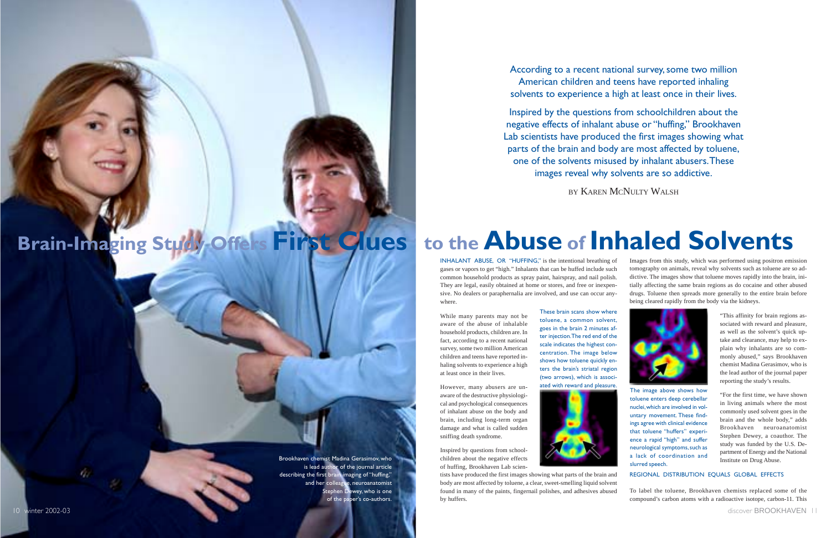While many parents may not be aware of the abuse of inhalable household products, children are. In fact, according to a recent national survey, some two million American children and teens have reported inhaling solvents to experience a high at least once in their lives.

However, many abusers are unaware of the destructive physiological and psychological consequences of inhalant abuse on the body and brain, including long-term organ damage and what is called sudden sniffing death syndrome.

Inspired by questions from schoolchildren about the negative effects of huffing, Brookhaven Lab scien-

INHALANT ABUSE, OR "HUFFING," is the intentional breathing of gases or vapors to get "high." Inhalants that can be huffed include such common household products as spray paint, hairspray, and nail polish. They are legal, easily obtained at home or stores, and free or inexpensive. No dealers or paraphernalia are involved, and use can occur anywhere.Images from this study, which was performed using positron emission tomography on animals, reveal why solvents such as toluene are so addictive. The images show that toluene moves rapidly into the brain, initially affecting the same brain regions as do cocaine and other abused drugs. Toluene then spreads more generally to the entire brain before being cleared rapidly from the body via the kidneys.

tists have produced the first images showing what parts of the brain and body are most affected by toluene, a clear, sweet-smelling liquid solvent found in many of the paints, fingernail polishes, and adhesives abused by huffers.

According to a recent national survey, some two million American children and teens have reported inhaling solvents to experience a high at least once in their lives.

Inspired by the questions from schoolchildren about the negative effects of inhalant abuse or "huffing," Brookhaven Lab scientists have produced the first images showing what parts of the brain and body are most affected by toluene, one of the solvents misused by inhalant abusers. These images reveal why solvents are so addictive.

BY KAREN MCNULTY WALSH

"This affinity for brain regions associated with reward and pleasure, as well as the solvent's quick uptake and clearance, may help to explain why inhalants are so commonly abused," says Brookhaven chemist Madina Gerasimov, who is the lead author of the journal paper reporting the study's results.

"For the first time, we have shown in living animals where the most commonly used solvent goes in the brain and the whole body," adds Brookhaven neuroanatomistStephen Dewey, a coauthor. The study was funded by the U.S. Department of Energy and the National Institute on Drug Abuse.

#### REGIONAL DISTRIBUTION EQUALS GLOBAL EFFECTS

To label the toluene, Brookhaven chemists replaced some of the compound's carbon atoms with a radioactive isotope, carbon-11. This

# **to the Abuse of Inhaled Solvents**

These brain scans show wheretoluene, a common solvent, goes in the brain 2 minutes after injection. The red end of the scale indicates the highest concentration. The image below shows how toluene quickly enters the brain's striatal region (two arrows), which is associ-





ated with reward and pleasure. The image above shows how toluene enters deep cerebellar nuclei, which are involved in voluntary movement. These findings agree with clinical evidence that toluene "huffers" experience a rapid "high" and suffer neurological symptoms, such as a lack of coordination andslurred speech.

# <span id="page-6-0"></span>**Brain-Imaging Study Offers First Clues**

Brookhaven chemist Madina Gerasimov, who is lead author of the journal article describing the first brain imaging of "huffing," and her colleague, neuroanatomist Stephen D**ewey, who is one** of the paper's co-authors.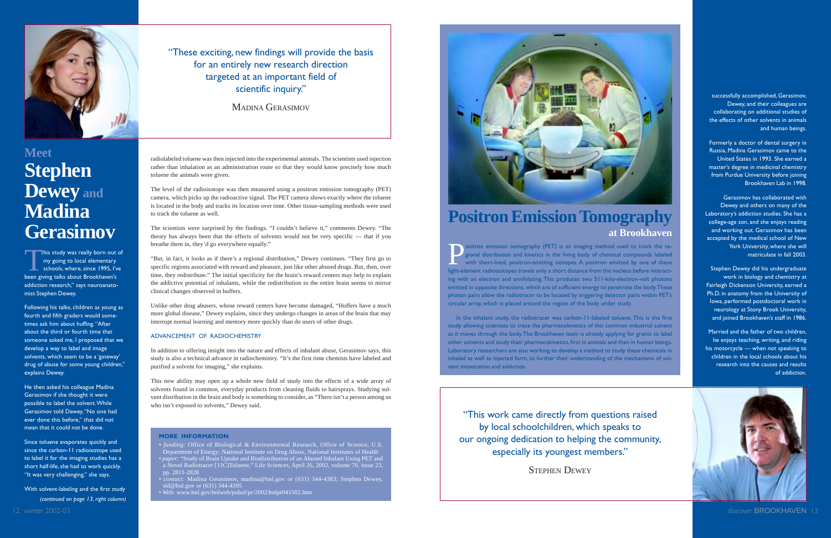### **Positron Emission Tomography at Brookhaven**

ositron emission tomography (PET) is an imaging method used to track the re-<br>gional distribution and kinetics in the living body of chemical compounds labeled<br>with short-lived, positron-emitting isotopes. A positron emitte light-element radioisotopes travels only a short distance from the nucleus before interacting with an electron and annihilating. This produces two 511-kilo-electron-volt photons emitted in opposite directions, which are of sufficient energy to penetrate the body. These photon pairs allow the radiotracer to be located by triggering detector pairs within PET's circular array, which is placed around the region of the body under study.

In the inhalant study, the radiotracer was carbon-11-labeled toluene. This is the first study allowing scientists to trace the pharmacokinetics of this common industrial solvent as it moves through the body. The Brookhaven team is already applying for grants to label other solvents and study their pharmacokinetics, first in animals and then in human beings. Laboratory researchers are also working to develop a method to study these chemicals in inhaled as well as injected form, to further their understanding of the mechanisms of solvent intoxication and addiction.

successfully accomplished, Gerasimov, Dewey, and their colleagues are collaborating on additional studies of the effects of other solvents in animals and human beings.

Formerly a doctor of dental surgery in Russia, Madina Gerasimov came to the United States in 1993. She earned amaster's degree in medicinal chemistry from Purdue University before joining Brookhaven Lab in 1998.

Gerasimov has collaborated withDewey and others on many of the Laboratory's addiction studies. She has a college-age son, and she enjoys reading and working out. Gerasimov has been accepted by the medical school of New York University, where she will matriculate in fall 2003.

Stephen Dewey did his undergraduate work in biology and chemistry at Fairleigh Dickenson University, earned a Ph.D. in anatomy from the University of Iowa, performed postdoctoral work in neurology at Stony Brook University, and joined Brookhaven's staff in 1986.

Married and the father of two children, he enjoys teaching, writing, and riding his motorcycle — when not speaking to children in the local schools about hisresearch into the causes and resultsof addiction.



 *• funding:* Office of Biological & Environmental Research, Office of Science, U.S. Department of Energy; National Institute on Drug Abuse, National Institutes of Health *• paper:* "Study of Brain Uptake and Biodistribution of an Abused Inhalant Using PET and a Novel Radiotracer [11C]Toluene," Life Sciences, April 26, 2002, volume 70, issue 23, pp. 2811-2828

"This work came directly from questions raised by local schoolchildren, which speaks to our ongoing dedication to helping the community, especially its youngest members."

STEPHEN DEWEY

radiolabeled toluene was then injected into the experimental animals. The scientists used injection rather than inhalation as an administration route so that they would know precisely how much toluene the animals were given.

This study was really born out of<br>my going to local elementary<br>schools, where, since 1995, I've been giving talks about Brookhaven's addiction research," says neuroanatomist Stephen Dewey.

Since toluene evaporates quickly and since the carbon-11 radioisotope used to label it for the imaging studies has a short half-life, she had to work quickly. "It was very challenging," she says.

The level of the radioisotope was then measured using a positron emission tomography (PET) camera, which picks up the radioactive signal. The PET camera shows exactly where the toluene is located in the body and tracks its location over time. Other tissue-sampling methods were used to track the toluene as well.

The scientists were surprised by the findings. "I couldn't believe it," comments Dewey. "The theory has always been that the effects of solvents would not be very specific — that if you breathe them in, they'd go everywhere equally."

"But, in fact, it looks as if there's a regional distribution," Dewey continues. "They first go to specific regions associated with reward and pleasure, just like other abused drugs. But, then, over time, they redistribute." The initial specificity for the brain's reward centers may help to explain the addictive potential of inhalants, while the redistribution to the entire brain seems to mirror clinical changes observed in huffers.

Unlike other drug abusers, whose reward centers have become damaged, "Huffers have a much more global disease," Dewey explains, since they undergo changes in areas of the brain that may interrupt normal learning and memory more quickly than do users of other drugs.

#### ADVANCEMENT OF RADIOCHEMISTRY

In addition to offering insight into the nature and effects of inhalant abuse, Gerasimov says, this study is also a technical advance in radiochemistry. "It's the first time chemists have labeled and purified a solvent for imaging," she explains.

This new ability may open up a whole new field of study into the effects of a wide array of solvents found in common, everyday products from cleaning fluids to hairsprays. Studying solvent distribution in the brain and body is something to consider, as "There isn't a person among us who isn't exposed to solvents," Dewey said.

#### **MORE INFORMATION**

*• contact:* Madina Gerasimov, madina@bnl.gov or (631) 344-4383; Stephen Dewey, sld@bnl.gov or (631) 344-4395

*• Web:* [www.bnl.gov/bnlweb/pubaf/pr/2002/bnlpr041502.htm](http://www.bnl.gov/bnlweb/pubaf/pr/2002/bnlpr041502.htm)



<span id="page-7-0"></span>

### **MeetStephen Dewey and MadinaGerasimov**

Following his talks, children as young as fourth and fifth graders would sometimes ask him about huffing. "After about the third or fourth time thatsomeone asked me, I proposed that we develop a way to label and image solvents, which seem to be a 'gateway' drug of abuse for some young children," explains Dewey.

He then asked his colleague Madina Gerasimov if she thought it were possible to label the solvent. While Gerasimov told Dewey, "No one had ever done this before," that did not mean that it could not be done.

With solvent-labeling and the first study *(continued on page 13, right column)* MADINA GERASIMOV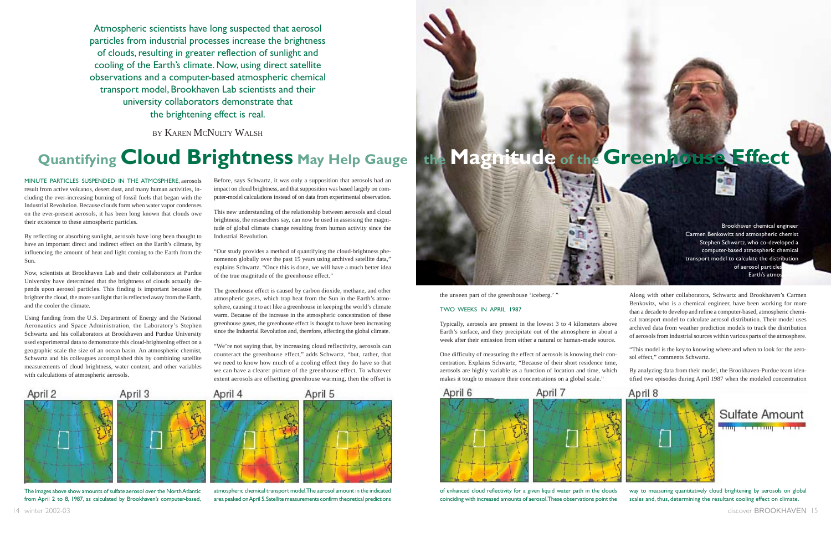<span id="page-8-0"></span>Atmospheric scientists have long suspected that aerosol particles from industrial processes increase the brightness of clouds, resulting in greater reflection of sunlight and cooling of the Earth's climate. Now, using direct satellite observations and a computer-based atmospheric chemical transport model, Brookhaven Lab scientists and their university collaborators demonstrate that the brightening effect is real.

BY KAREN MCNULTY WALSH

MINUTE PARTICLES SUSPENDED IN THE ATMOSPHERE, aerosols result from active volcanos, desert dust, and many human activities, including the ever-increasing burning of fossil fuels that began with the Industrial Revolution. Because clouds form when water vapor condenses on the ever-present aerosols, it has been long known that clouds owe their existence to these atmospheric particles.

By reflecting or absorbing sunlight, aerosols have long been thought to have an important direct and indirect effect on the Earth's climate, by influencing the amount of heat and light coming to the Earth from the Sun.

Now, scientists at Brookhaven Lab and their collaborators at Purdue University have determined that the brightness of clouds actually depends upon aerosol particles. This finding is important because the brighter the cloud, the more sunlight that is reflected away from the Earth, and the cooler the climate.

Using funding from the U.S. Department of Energy and the National Aeronautics and Space Administration, the Laboratory's Stephen Schwartz and his collaborators at Brookhaven and Purdue University used experimental data to demonstrate this cloud-brightening effect on a geographic scale the size of an ocean basin. An atmospheric chemist, Schwartz and his colleagues accomplished this by combining satellite measurements of cloud brightness, water content, and other variables with calculations of atmospheric aerosols.

Before, says Schwartz, it was only a supposition that aerosols had an impact on cloud brightness, and that supposition was based largely on computer-model calculations instead of on data from experimental observation.

This new understanding of the relationship between aerosols and cloud brightness, the researchers say, can now be used in assessing the magnitude of global climate change resulting from human activity since the Industrial Revolution.

"Our study provides a method of quantifying the cloud-brightness phenomenon globally over the past 15 years using archived satellite data," explains Schwartz. "Once this is done, we will have a much better idea of the true magnitude of the greenhouse effect."

The greenhouse effect is caused by carbon dioxide, methane, and other atmospheric gases, which trap heat from the Sun in the Earth's atmosphere, causing it to act like a greenhouse in keeping the world's climate warm. Because of the increase in the atmospheric concentration of these greenhouse gases, the greenhouse effect is thought to have been increasing since the Industrial Revolution and, therefore, affecting the global climate.

"We're not saying that, by increasing cloud reflectivity, aerosols can counteract the greenhouse effect," adds Schwartz, "but, rather, that we need to know how much of a cooling effect they do have so that we can have a clearer picture of the greenhouse effect. To whatever extent aerosols are offsetting greenhouse warming, then the offset is

#### TWO WEEKS IN APRIL 1987

Typically, aerosols are present in the lowest 3 to 4 kilometers above Earth's surface, and they precipitate out of the atmosphere in about a week after their emission from either a natural or human-made source.

One difficulty of measuring the effect of aerosols is knowing their concentration. Explains Schwartz, "Because of their short residence time, aerosols are highly variable as a function of location and time, which makes it tough to measure their concentrations on a global scale."

## **Quantifying Cloud Brightness May Help Gauge**

Benkovitz, who is a chemical engineer, have been working for more than a decade to develop and refine a computer-based, atmospheric chemical transport model to calculate aerosol distribution. Their model uses archived data from weather prediction models to track the distribution of aerosols from industrial sources within various parts of the atmosphere.

"This model is the key to knowing where and when to look for the aerosol effect," comments Schwartz.

By analyzing data from their model, the Brookhaven-Purdue team identified two episodes during April 1987 when the modeled concentration



The images above show amounts of sulfate aerosol over the North Atlantic from April 2 to 8, 1987, as calculated by Brookhaven's computer-based,



the unseen part of the greenhouse 'iceberg.' "



atmospheric chemical transport model. The aerosol amount in the indicated area peaked on April 5. Satellite measurements confirm theoretical predictions



of enhanced cloud reflectivity for a given liquid water path in the clouds coinciding with increased amounts of aerosol. These observations point the

way to measuring quantitatively cloud brightening by aerosols on global scales and, thus, determining the resultant cooling effect on climate.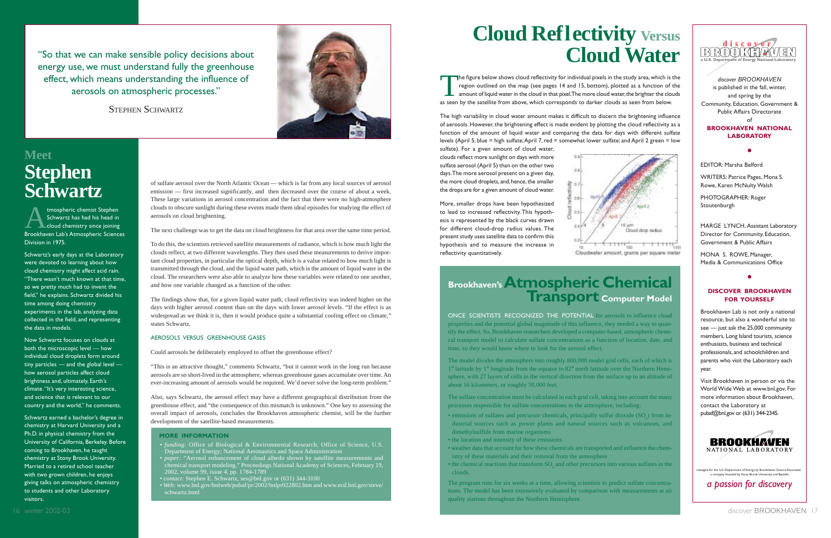of sulfate aerosol over the North Atlantic Ocean — which is far from any local sources of aerosol emission — first increased significantly, and then decreased over the course of about a week. These large variations in aerosol concentration and the fact that there were no high-atmosphere clouds to obscure sunlight during these events made them ideal episodes for studying the effect of aerosols on cloud brightening.

The next challenge was to get the data on cloud brightness for that area over the same time period.

To do this, the scientists retrieved satellite measurements of radiance, which is how much light the clouds reflect, at two different wavelengths. They then used these measurements to derive important cloud properties, in particular the optical depth, which is a value related to how much light is transmitted through the cloud, and the liquid water path, which is the amount of liquid water in the cloud. The researchers were also able to analyze how these variables were related to one another, and how one variable changed as a function of the other.

# **Cloud Reflectivity Versus Cloud Water**

tmospheric chemist Stephen<br>Schwartz has had his head in<br>Cloud chemistry since joining Brookhaven Lab's Atmospheric Sciences Division in 1975.

> The findings show that, for a given liquid water path, cloud reflectivity was indeed higher on the days with higher aerosol content than on the days with lower aerosol levels. "If the effect is as widespread as we think it is, then it would produce quite a substantial cooling effect on climate," states Schwartz.

#### AEROSOLS VERSUS GREENHOUSE GASES

Could aerosols be deliberately employed to offset the greenhouse effect?

"This is an attractive thought," comments Schwartz, "but it cannot work in the long run because aerosols are so short-lived in the atmosphere, whereas greenhouse gases accumulate over time. An ever-increasing amount of aerosols would be required. We'd never solve the long-term problem."

Also, says Schwartz, the aerosol effect may have a different geographical distribution from the greenhouse effect, and "the consequence of this mismatch is unknown." One key to assessing the overall impact of aerosols, concludes the Brookhaven atmospheric chemist, will be the further development of the satellite-based measurements.

### **MeetStephen Schwartz**

Schwartz's early days at the Laboratory were devoted to learning about how cloud chemistry might affect acid rain. "There wasn't much known at that time, so we pretty much had to invent the field," he explains. Schwartz divided his time among doing chemistry experiments in the lab, analyzing data collected in the field, and representing the data in models.

- emissions of sulfates and precursor chemicals, principally sulfur dioxide (SO<sub>2</sub>) from industrial sources such as power plants and natural sources such as volcanoes, and dimethylsulfide from marine organisms
- the location and intensity of these emissions
- weather data that account for how these chemicals are transported and influence the chemistry of these materials and their removal from the atmosphere
- $\bullet$  the chemical reactions that transform  $\mathrm{SO}_2$  and other precursors into various sulfates in the clouds.

Now Schwartz focuses on clouds at both the microscopic level — how individual cloud droplets form around tiny particles — and the global level how aerosol particles affect cloud brightness and, ultimately, Earth's climate. "It's very interesting science, and science that is relevant to ourcountry and the world," he comments.

Schwartz earned a bachelor's degree in chemistry at Harvard University and a Ph.D. in physical chemistry from the University of California, Berkeley. Before coming to Brookhaven, he taught chemistry at Stony Brook University. Married to a retired school teacher with two grown children, he enjoys giving talks on atmospheric chemistry to students and other Laboratory visitors.

#### **MORE INFORMATION**

The figure below shows cloud reflectivity for individual pixels in the study area, which is the region outlined on the map (see pages 14 and 15, bottom), plotted as a function of the amount of liquid water in the cloud in region outlined on the map (see pages 14 and 15, bottom), plotted as a function of the amount of liquid water in the cloud in that pixel. The more cloud water, the brighter the clouds as seen by the satellite from above, which corresponds to darker clouds as seen from below.

- *funding:* Office of Biological & Environmental Research, Office of Science, U.S. Department of Energy; National Aeronautics and Space Administration
- *paper:* "Aerosol enhancement of cloud albedo shown by satellite measurements and chemical transport modeling," Proceedings National Academy of Sciences, February 19, 2002, volume 99, issue 4, pp. 1784-1789
- *contact:* Stephen E. Schwartz, ses@bnl.gov or (631) 344-3100
- *Web:* [www.bnl.gov/bnlweb/pubaf/pr/2002/bnlpr022802.htm](http://www.bnl.gov/bnlweb/pubaf/pr/2002/bnlpr022802.htm) and [www.ecd.bnl.gov/steve/](http://www.ecd.bnl.gov/steve/schwartz.html) [schwartz.html](http://www.ecd.bnl.gov/steve/schwartz.html)

# **Brookhaven's Atmospheric Chemical Transport Computer Model**

ONCE SCIENTISTS RECOGNIZED THE POTENTIAL for aerosols to influence cloudproperties and the potential global magnitude of this influence, they needed a way to quantify the effect. So, Brookhaven researchers developed a computer-based, atmospheric chemical transport model to calculate sulfate concentrations as a function of location, date, and time, so they would know where to look for the aerosol effect.

The model divides the atmosphere into roughly 800,000 model grid cells, each of which is 1° latitude by 1° longitude from the equator to 82° north latitude over the Northern Hemisphere, with 27 layers of cells in the vertical direction from the surface up to an altitude of about 16 kilometers, or roughly 50,000 feet.

The sulfate concentration must be calculated in each grid cell, taking into account the many processes responsible for sulfate concentrations in the atmosphere, including:

The program runs for six weeks at a time, allowing scientists to predict sulfate concentrations. The model has been extensively evaluated by comparison with measurements at air quality stations throughout the Northern Hemisphere.



*discover BROOKHAVEN*is published in the fall, winter, and spring by the Community, Education, Government & Public Affairs Directorateof

**BROOKHAVEN NATIONALLABORATORY**

**•**

EDITOR: Marsha Belford

WRITERS: Patrice Pages, Mona S. Rowe, Karen McNulty Walsh

PHOTOGRAPHER: Roger Stoutenburgh

MARGE LYNCH, Assistant Laboratory Director for Community, Education, Government & Public Affairs

MONA S. ROWE, Manager, Media & Communications Office

**•**

#### **DISCOVER BROOKHAVENFOR YOURSELF**

Brookhaven Lab is not only a national resource, but also a wonderful site to see — just ask the 25,000 community members, Long Island tourists, science enthusiasts, business and technical professionals, and schoolchildren and parents who visit the Laboratory each year.

Visit Brookhaven in person or via the World Wide Web at www.bnl.gov. For more information about Brookhaven, contact the Laboratory at pubaf@bnl.gov or (631) 344-2345.



.<br>nanaged for the U.S. Department of Energy by Brookhaven Science Ass a company founded by Stony Brook University and Battell

<span id="page-9-0"></span>"So that we can make sensible policy decisions about energy use, we must understand fully the greenhouse effect, which means understanding the influence of aerosols on atmospheric processes."

STEPHEN SCHWARTZ



The high variability in cloud water amount makes it difficult to discern the brightening influence of aerosols. However, the brightening effect is made evident by plotting the cloud reflectivity as a function of the amount of liquid water and comparing the data for days with different sulfate levels (April 5, blue = high sulfate; April 7, red = somewhat lower sulfate; and April 2 green = low

sulfate). For a given amount of cloud water, clouds reflect more sunlight on days with more sulfate aerosol (April 5) than on the other two days. The more aerosol present on a given day, the more cloud droplets, and, hence, the smaller the drops are for a given amount of cloud water.

More, smaller drops have been hypothesized to lead to increased reflectivity. This hypothesis is represented by the black curves drawn for different cloud-drop radius values. The present study uses satellite data to confirm this hypothesis and to measure the increase in

reflectivity quantitatively.



*a passion for discovery*